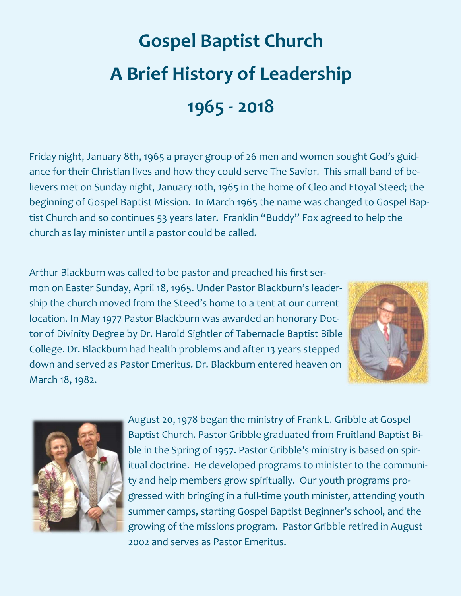## **Gospel Baptist Church A Brief History of Leadership 1965 - 2018**

Friday night, January 8th, 1965 a prayer group of 26 men and women sought God's guidance for their Christian lives and how they could serve The Savior. This small band of believers met on Sunday night, January 10th, 1965 in the home of Cleo and Etoyal Steed; the beginning of Gospel Baptist Mission. In March 1965 the name was changed to Gospel Baptist Church and so continues 53 years later. Franklin "Buddy" Fox agreed to help the church as lay minister until a pastor could be called.

Arthur Blackburn was called to be pastor and preached his first sermon on Easter Sunday, April 18, 1965. Under Pastor Blackburn's leadership the church moved from the Steed's home to a tent at our current location. In May 1977 Pastor Blackburn was awarded an honorary Doctor of Divinity Degree by Dr. Harold Sightler of Tabernacle Baptist Bible College. Dr. Blackburn had health problems and after 13 years stepped down and served as Pastor Emeritus. Dr. Blackburn entered heaven on March 18, 1982.





August 20, 1978 began the ministry of Frank L. Gribble at Gospel Baptist Church. Pastor Gribble graduated from Fruitland Baptist Bible in the Spring of 1957. Pastor Gribble's ministry is based on spiritual doctrine. He developed programs to minister to the community and help members grow spiritually. Our youth programs progressed with bringing in a full-time youth minister, attending youth summer camps, starting Gospel Baptist Beginner's school, and the growing of the missions program. Pastor Gribble retired in August 2002 and serves as Pastor Emeritus.